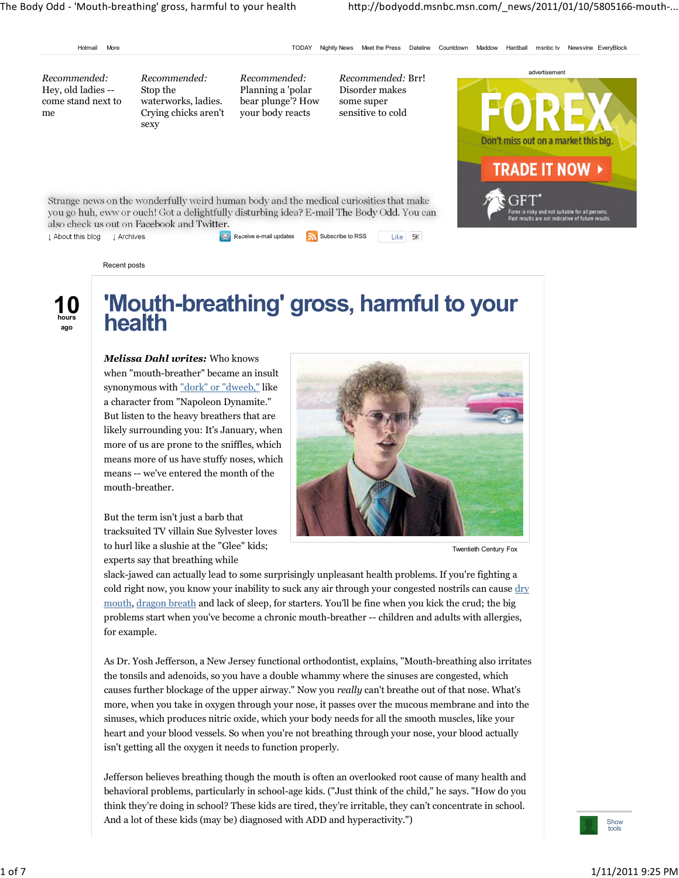

#### Recent posts

**10** ago

# 'Mouth-breathing' gross, harmful to your health

Melissa Dahl writes: Who knows when "mouth-breather" became an insult synonymous with "dork" or "dweeb," like a character from "Napoleon Dynamite." But listen to the heavy breathers that are likely surrounding you: It's January, when more of us are prone to the sniffles, which means more of us have stuffy noses, which means -- we've entered the month of the mouth-breather.

But the term isn't just a barb that tracksuited TV villain Sue Sylvester loves to hurl like a slushie at the "Glee" kids; experts say that breathing while



Twentieth Century Fox

slack-jawed can actually lead to some surprisingly unpleasant health problems. If you're fighting a cold right now, you know your inability to suck any air through your congested nostrils can cause dry mouth, dragon breath and lack of sleep, for starters. You'll be fine when you kick the crud; the big problems start when you've become a chronic mouth-breather -- children and adults with allergies, for example.

As Dr. Yosh Jefferson, a New Jersey functional orthodontist, explains, "Mouth-breathing also irritates the tonsils and adenoids, so you have a double whammy where the sinuses are congested, which causes further blockage of the upper airway." Now you really can't breathe out of that nose. What's more, when you take in oxygen through your nose, it passes over the mucous membrane and into the sinuses, which produces nitric oxide, which your body needs for all the smooth muscles, like your heart and your blood vessels. So when you're not breathing through your nose, your blood actually isn't getting all the oxygen it needs to function properly.

Jefferson believes breathing though the mouth is often an overlooked root cause of many health and behavioral problems, particularly in school-age kids. ("Just think of the child," he says. "How do you think they're doing in school? These kids are tired, they're irritable, they can't concentrate in school. And a lot of these kids (may be) diagnosed with ADD and hyperactivity.")

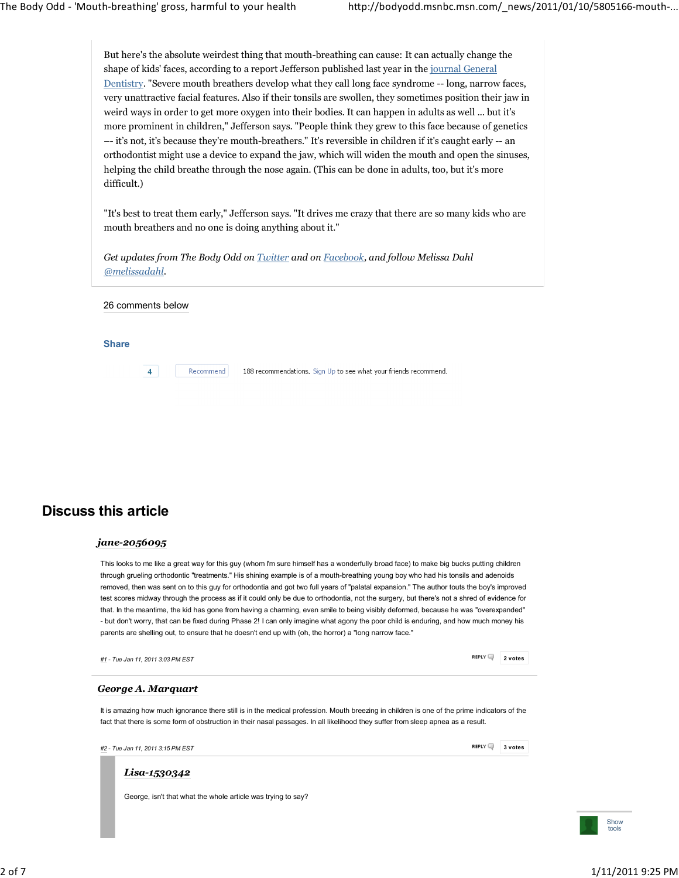| But here's the absolute weirdest thing that mouth-breathing can cause: It can actually change the          |
|------------------------------------------------------------------------------------------------------------|
| shape of kids' faces, according to a report Jefferson published last year in the journal General           |
| Dentistry. "Severe mouth breathers develop what they call long face syndrome -- long, narrow faces,        |
| very unattractive facial features. Also if their tonsils are swollen, they sometimes position their jaw in |
| weird ways in order to get more oxygen into their bodies. It can happen in adults as well  but it's        |
| more prominent in children," Jefferson says. "People think they grew to this face because of genetics      |
| -- it's not, it's because they're mouth-breathers." It's reversible in children if it's caught early -- an |
| orthodontist might use a device to expand the jaw, which will widen the mouth and open the sinuses,        |
| helping the child breathe through the nose again. (This can be done in adults, too, but it's more          |
| difficult.)                                                                                                |
|                                                                                                            |

"It's best to treat them early," Jefferson says. "It drives me crazy that there are so many kids who are mouth breathers and no one is doing anything about it."

Get updates from The Body Odd on Twitter and on Facebook, and follow Melissa Dahl @melissadahl.

|              | 26 comments below |                                                                  |
|--------------|-------------------|------------------------------------------------------------------|
| <b>Share</b> | Recommend<br>4    | 188 recommendations. Sign Up to see what your friends recommend. |

## Discuss this article

## jane-2056095

This looks to me like a great way for this guy (whom I'm sure himself has a wonderfully broad face) to make big bucks putting children through grueling orthodontic "treatments." His shining example is of a mouth-breathing young boy who had his tonsils and adenoids removed, then was sent on to this guy for orthodontia and got two full years of "palatal expansion." The author touts the boy's improved test scores midway through the process as if it could only be due to orthodontia, not the surgery, but there's not a shred of evidence for that. In the meantime, the kid has gone from having a charming, even smile to being visibly deformed, because he was "overexpanded" - but don't worry, that can be fixed during Phase 2! I can only imagine what agony the poor child is enduring, and how much money his parents are shelling out, to ensure that he doesn't end up with (oh, the horror) a "long narrow face."

#1 - Tue Jan 11, 2011 3:03 PM EST

| REPLY | 2 votes |
|-------|---------|

3 votes

## George A. Marquart

It is amazing how much ignorance there still is in the medical profession. Mouth breezing in children is one of the prime indicators of the fact that there is some form of obstruction in their nasal passages. In all likelihood they suffer from sleep apnea as a result.

| #2 - Tue Jan 11, 2011 3:15 PM EST<br><b>STATISTICS</b> | <b>DEDIV</b> |
|--------------------------------------------------------|--------------|
|                                                        |              |

## Lisa-1530342

George, isn't that what the whole article was trying to say?

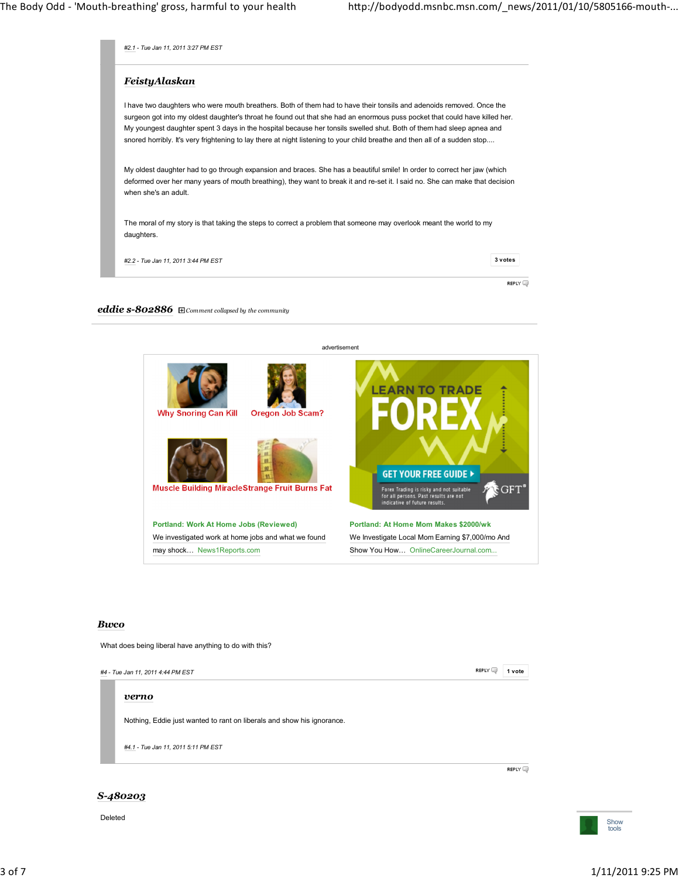#2.1 - Tue Jan 11, 2011 3:27 PM EST FeistyAlaskan I have two daughters who were mouth breathers. Both of them had to have their tonsils and adenoids removed. Once the surgeon got into my oldest daughter's throat he found out that she had an enormous puss pocket that could have killed her. My youngest daughter spent 3 days in the hospital because her tonsils swelled shut. Both of them had sleep apnea and snored horribly. It's very frightening to lay there at night listening to your child breathe and then all of a sudden stop.... My oldest daughter had to go through expansion and braces. She has a beautiful smile! In order to correct her jaw (which deformed over her many years of mouth breathing), they want to break it and re-set it. I said no. She can make that decision when she's an adult. The moral of my story is that taking the steps to correct a problem that someone may overlook meant the world to my daughters. #2.2 - Tue Jan 11, 2011 3:44 PM EST 3 votes REPLY U

#### eddie  $s$ -802886  $\boxplus$  Comment collapsed by the community

What does being liberal have anything to do with this?



#### Bwco

REPLY 4 vote #4 - Tue Jan 11, 2011 4:44 PM EST verno Nothing, Eddie just wanted to rant on liberals and show his ignorance. #4.1 - Tue Jan 11, 2011 5:11 PM EST REPLY  $\overline{\mathbb{Q}}$ 

#### S-480203

Deleted

Show tools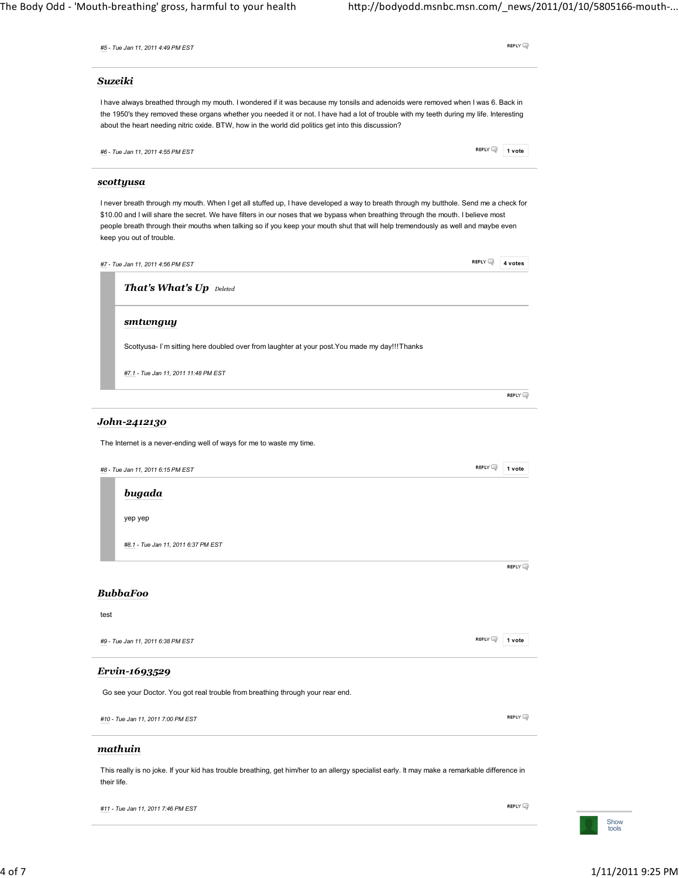| #5 - Tue Jan 11, 2011 4:49 PM EST                                                                                                                                                                                                                                                                                                                                                                                                           | REPLY W            |
|---------------------------------------------------------------------------------------------------------------------------------------------------------------------------------------------------------------------------------------------------------------------------------------------------------------------------------------------------------------------------------------------------------------------------------------------|--------------------|
| <b>Suzeiki</b>                                                                                                                                                                                                                                                                                                                                                                                                                              |                    |
| I have always breathed through my mouth. I wondered if it was because my tonsils and adenoids were removed when I was 6. Back in<br>the 1950's they removed these organs whether you needed it or not. I have had a lot of trouble with my teeth during my life. Interesting<br>about the heart needing nitric oxide. BTW, how in the world did politics get into this discussion?                                                          |                    |
| #6 - Tue Jan 11, 2011 4:55 PM EST                                                                                                                                                                                                                                                                                                                                                                                                           | REPLY W<br>1 vote  |
| scottyusa                                                                                                                                                                                                                                                                                                                                                                                                                                   |                    |
| I never breath through my mouth. When I get all stuffed up, I have developed a way to breath through my butthole. Send me a check for<br>\$10.00 and I will share the secret. We have filters in our noses that we bypass when breathing through the mouth. I believe most<br>people breath through their mouths when talking so if you keep your mouth shut that will help tremendously as well and maybe even<br>keep you out of trouble. |                    |
| #7 - Tue Jan 11, 2011 4:56 PM EST                                                                                                                                                                                                                                                                                                                                                                                                           | REPLY O<br>4 votes |
| That's What's Up Deleted                                                                                                                                                                                                                                                                                                                                                                                                                    |                    |
| smtwnguy                                                                                                                                                                                                                                                                                                                                                                                                                                    |                    |
| Scottyusa- I'm sitting here doubled over from laughter at your post. You made my day!!! Thanks                                                                                                                                                                                                                                                                                                                                              |                    |
| #7.1 - Tue Jan 11, 2011 11:48 PM EST                                                                                                                                                                                                                                                                                                                                                                                                        |                    |
|                                                                                                                                                                                                                                                                                                                                                                                                                                             | REPLY W            |
|                                                                                                                                                                                                                                                                                                                                                                                                                                             |                    |
| John-2412130                                                                                                                                                                                                                                                                                                                                                                                                                                |                    |
| The Internet is a never-ending well of ways for me to waste my time.                                                                                                                                                                                                                                                                                                                                                                        |                    |
| #8 - Tue Jan 11, 2011 6:15 PM EST                                                                                                                                                                                                                                                                                                                                                                                                           | REPLY W<br>1 vote  |
| bugada                                                                                                                                                                                                                                                                                                                                                                                                                                      |                    |
| yep yep                                                                                                                                                                                                                                                                                                                                                                                                                                     |                    |
| #8.1 - Tue Jan 11, 2011 6:37 PM EST                                                                                                                                                                                                                                                                                                                                                                                                         |                    |
|                                                                                                                                                                                                                                                                                                                                                                                                                                             | REPLY W            |
|                                                                                                                                                                                                                                                                                                                                                                                                                                             |                    |
| <b>BubbaFoo</b>                                                                                                                                                                                                                                                                                                                                                                                                                             |                    |
| test                                                                                                                                                                                                                                                                                                                                                                                                                                        |                    |
| #9 - Tue Jan 11, 2011 6:38 PM EST                                                                                                                                                                                                                                                                                                                                                                                                           | REPLY W<br>1 vote  |
| Ervin-1693529                                                                                                                                                                                                                                                                                                                                                                                                                               |                    |
| Go see your Doctor. You got real trouble from breathing through your rear end.                                                                                                                                                                                                                                                                                                                                                              |                    |
| #10 - Tue Jan 11, 2011 7:00 PM EST                                                                                                                                                                                                                                                                                                                                                                                                          | REPLY W            |
| mathuin                                                                                                                                                                                                                                                                                                                                                                                                                                     |                    |
|                                                                                                                                                                                                                                                                                                                                                                                                                                             |                    |
| This really is no joke. If your kid has trouble breathing, get him/her to an allergy specialist early. It may make a remarkable difference in<br>their life.                                                                                                                                                                                                                                                                                |                    |

Show tools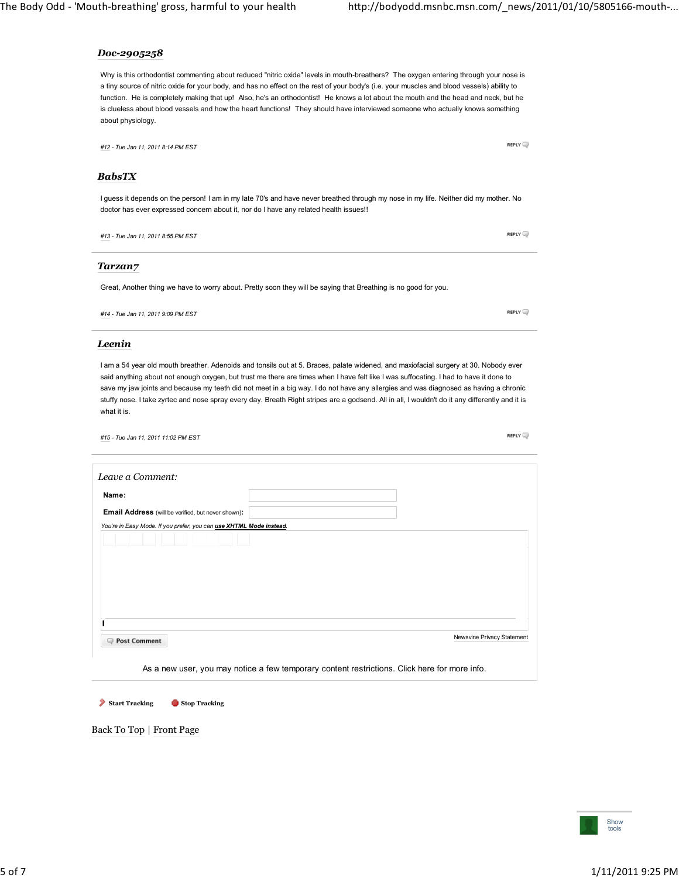REPLY O

REPLY W

## Doc-2905258

Why is this orthodontist commenting about reduced "nitric oxide" levels in mouth-breathers? The oxygen entering through your nose is a tiny source of nitric oxide for your body, and has no effect on the rest of your body's (i.e. your muscles and blood vessels) ability to function. He is completely making that up! Also, he's an orthodontist! He knows a lot about the mouth and the head and neck, but he is clueless about blood vessels and how the heart functions! They should have interviewed someone who actually knows something about physiology.

REPLY III #12 - Tue Jan 11, 2011 8:14 PM EST BabsTX

I guess it depends on the person! I am in my late 70's and have never breathed through my nose in my life. Neither did my mother. No doctor has ever expressed concern about it, nor do I have any related health issues!!

REPLY  $\overline{\mathbb{Q}}$ #13 - Tue Jan 11, 2011 8:55 PM EST

## Tarzan7

Great, Another thing we have to worry about. Pretty soon they will be saying that Breathing is no good for you.

#14 - Tue Jan 11, 2011 9:09 PM EST

## Leenin

I am a 54 year old mouth breather. Adenoids and tonsils out at 5. Braces, palate widened, and maxiofacial surgery at 30. Nobody ever said anything about not enough oxygen, but trust me there are times when I have felt like I was suffocating. I had to have it done to save my jaw joints and because my teeth did not meet in a big way. I do not have any allergies and was diagnosed as having a chronic stuffy nose. I take zyrtec and nose spray every day. Breath Right stripes are a godsend. All in all, I wouldn't do it any differently and it is what it is.

#15 - Tue Jan 11, 2011 11:02 PM EST

| Name:                                                               |                            |
|---------------------------------------------------------------------|----------------------------|
| Email Address (will be verified, but never shown):                  |                            |
| You're in Easy Mode. If you prefer, you can use XHTML Mode instead. |                            |
|                                                                     |                            |
|                                                                     |                            |
|                                                                     |                            |
|                                                                     |                            |
|                                                                     |                            |
|                                                                     |                            |
|                                                                     |                            |
|                                                                     |                            |
|                                                                     |                            |
| Post Comment                                                        | Newsvine Privacy Statement |
|                                                                     |                            |

Back To Top | Front Page

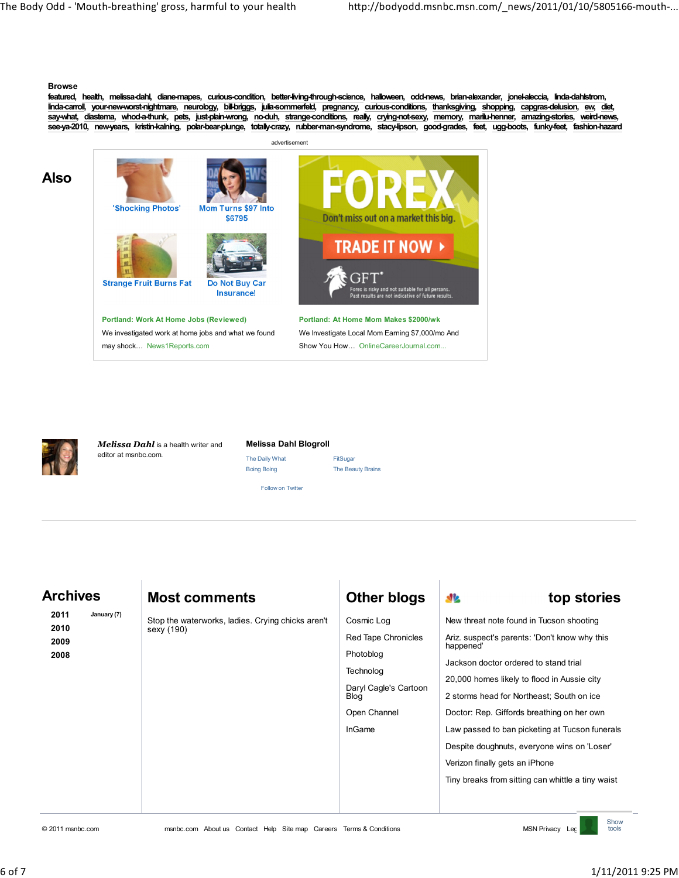#### Browse

featured, health, melissa-dahl, diane-mapes, curious-condition, better-living-through-science, halloween, odd-news, brian-alexander, jonel-aleccia, linda-dahlstrom, linda-carroll, your-new-worst-nightmare, neurology, bill-briggs, julia-sommerfeld, pregnancy, curious-conditions, thanksgiving, shopping, capgras-delusion, ew, diet, say-what, diastema, whod-a-thunk, pets, just-plain-wrong, no-duh, strange-conditions, really, crying-not-sexy, memory, marilu-henner, amazing-stories, weird-news, see-ya-2010, new-years, kristin-kalning, polar-bear-plunge, totally-crazy, rubber-man-syndrome, stacy-lipson, good-grades, feet, ugg-boots, funky-feet, fashion-hazard





Melissa Dahl is a health writer and editor at msnbc.com.

| <b>Melissa Dahl Blogroll</b> |
|------------------------------|
| The Daily What               |
| <b>Boing Boing</b>           |

FitSugar The Beauty Brains

Follow on Twitter

| <b>Archives</b>                             | <b>Most comments</b>                                            | <b>Other blogs</b>                                                                                                            | <b>SV2</b><br>top stories                                                                                                                                                                                                                                                                                                                                                                                                                                                         |
|---------------------------------------------|-----------------------------------------------------------------|-------------------------------------------------------------------------------------------------------------------------------|-----------------------------------------------------------------------------------------------------------------------------------------------------------------------------------------------------------------------------------------------------------------------------------------------------------------------------------------------------------------------------------------------------------------------------------------------------------------------------------|
| 2011<br>January (7)<br>2010<br>2009<br>2008 | Stop the waterworks, ladies. Crying chicks aren't<br>sexy (190) | Cosmic Log<br>Red Tape Chronicles<br>Photoblog<br>Technolog<br>Daryl Cagle's Cartoon<br><b>Blog</b><br>Open Channel<br>InGame | New threat note found in Tucson shooting<br>Ariz. suspect's parents: 'Don't know why this<br>happened'<br>Jackson doctor ordered to stand trial<br>20,000 homes likely to flood in Aussie city<br>2 storms head for Northeast; South on ice<br>Doctor: Rep. Giffords breathing on her own<br>Law passed to ban picketing at Tucson funerals<br>Despite doughnuts, everyone wins on 'Loser'<br>Verizon finally gets an iPhone<br>Tiny breaks from sitting can whittle a tiny waist |